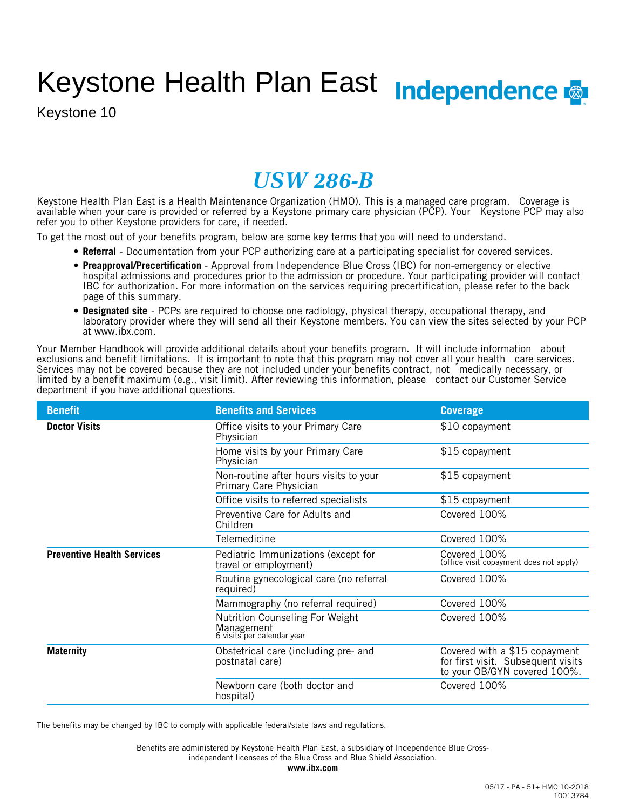# Keystone Health Plan East Independence

Keystone 10

## *USW 286-B*

Keystone Health Plan East is a Health Maintenance Organization (HMO). This is a managed care program. Coverage is available when your care is provided or referred by a Keystone primary care physician (PCP). Your Keystone PCP may also refer you to other Keystone providers for care, if needed.

To get the most out of your benefits program, below are some key terms that you will need to understand.

- **Referral** Documentation from your PCP authorizing care at a participating specialist for covered services.
- **Preapproval/Precertification** Approval from Independence Blue Cross (IBC) for non-emergency or elective hospital admissions and procedures prior to the admission or procedure. Your participating provider will contact IBC for authorization. For more information on the services requiring precertification, please refer to the back page of this summary.
- **Designated site** PCPs are required to choose one radiology, physical therapy, occupational therapy, and laboratory provider where they will send all their Keystone members. You can view the sites selected by your PCP at www.ibx.com.

Your Member Handbook will provide additional details about your benefits program. It will include information about exclusions and benefit limitations. It is important to note that this program may not cover all your health care services. Services may not be covered because they are not included under your benefits contract, not medically necessary, or limited by a benefit maximum (e.g., visit limit). After reviewing this information, please contact our Customer Service department if you have additional questions.

| <b>Benefit</b>                    | <b>Benefits and Services</b>                                                       | <b>Coverage</b>                                                                                     |
|-----------------------------------|------------------------------------------------------------------------------------|-----------------------------------------------------------------------------------------------------|
| <b>Doctor Visits</b>              | Office visits to your Primary Care<br>Physician                                    | \$10 copayment                                                                                      |
|                                   | Home visits by your Primary Care<br>Physician                                      | \$15 copayment                                                                                      |
|                                   | Non-routine after hours visits to your<br>Primary Care Physician                   | \$15 copayment                                                                                      |
|                                   | Office visits to referred specialists                                              | \$15 copayment                                                                                      |
|                                   | Preventive Care for Adults and<br>Children                                         | Covered 100%                                                                                        |
|                                   | Telemedicine                                                                       | Covered 100%                                                                                        |
| <b>Preventive Health Services</b> | Pediatric Immunizations (except for<br>travel or employment)                       | Covered 100%<br>(office visit copayment does not apply)                                             |
|                                   | Routine gynecological care (no referral<br>required)                               | Covered 100%                                                                                        |
|                                   | Mammography (no referral required)                                                 | Covered 100%                                                                                        |
|                                   | <b>Nutrition Counseling For Weight</b><br>Management<br>6 visits per calendar year | Covered 100%                                                                                        |
| <b>Maternity</b>                  | Obstetrical care (including pre- and<br>postnatal care)                            | Covered with a \$15 copayment<br>for first visit. Subsequent visits<br>to your OB/GYN covered 100%. |
|                                   | Newborn care (both doctor and<br>hospital)                                         | Covered 100%                                                                                        |

The benefits may be changed by IBC to comply with applicable federal/state laws and regulations.

independent licensees of the Blue Cross and Blue Shield Association. Benefits are administered by Keystone Health Plan East, a subsidiary of Independence Blue Cross-

**www.ibx.com**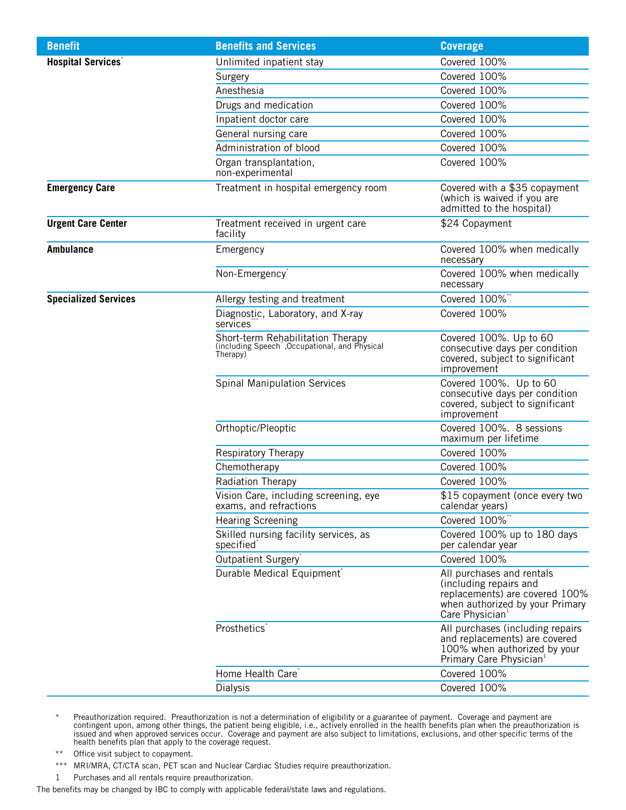| <b>Benefit</b>              | <b>Benefits and Services</b>                                                                    | <b>Coverage</b>                                                                                                                                         |
|-----------------------------|-------------------------------------------------------------------------------------------------|---------------------------------------------------------------------------------------------------------------------------------------------------------|
| <b>Hospital Services</b> *  | Unlimited inpatient stay                                                                        | Covered 100%                                                                                                                                            |
|                             | Surgery                                                                                         | Covered 100%                                                                                                                                            |
|                             | Anesthesia                                                                                      | Covered 100%                                                                                                                                            |
|                             | Drugs and medication                                                                            | Covered 100%                                                                                                                                            |
|                             | Inpatient doctor care                                                                           | Covered 100%                                                                                                                                            |
|                             | General nursing care                                                                            | Covered 100%                                                                                                                                            |
|                             | Administration of blood                                                                         | Covered 100%                                                                                                                                            |
|                             | Organ transplantation,<br>non-experimental                                                      | Covered 100%                                                                                                                                            |
| <b>Emergency Care</b>       | Treatment in hospital emergency room                                                            | Covered with a \$35 copayment<br>(which is waived if you are<br>admitted to the hospital)                                                               |
| <b>Urgent Care Center</b>   | Treatment received in urgent care<br>facility                                                   | \$24 Copayment                                                                                                                                          |
| <b>Ambulance</b>            | Emergency                                                                                       | Covered 100% when medically<br>necessary                                                                                                                |
|                             | Non-Emergency <sup>*</sup>                                                                      | Covered 100% when medically<br>necessary                                                                                                                |
| <b>Specialized Services</b> | Allergy testing and treatment                                                                   | Covered 100%*                                                                                                                                           |
|                             | Diagnostic, Laboratory, and X-ray<br>services <sup>®</sup>                                      | Covered 100%                                                                                                                                            |
|                             | Short-term Rehabilitation Therapy<br>(including Speech , Occupational, and Physical<br>Therapy) | Covered 100%. Up to 60<br>consecutive days per condition<br>covered, subject to significant<br>improvement                                              |
|                             | <b>Spinal Manipulation Services</b>                                                             | Covered 100%. Up to 60<br>consecutive days per condition<br>covered, subject to significant<br>improvement                                              |
|                             | Orthoptic/Pleoptic                                                                              | Covered 100%. 8 sessions<br>maximum per lifetime                                                                                                        |
|                             | Respiratory Therapy                                                                             | Covered 100%                                                                                                                                            |
|                             | Chemotherapy                                                                                    | Covered 100%                                                                                                                                            |
|                             | Radiation Therapy                                                                               | Covered 100%                                                                                                                                            |
|                             | Vision Care, including screening, eye<br>exams, and refractions                                 | \$15 copayment (once every two<br>calendar years)                                                                                                       |
|                             | <b>Hearing Screening</b>                                                                        | Covered 100%**                                                                                                                                          |
|                             | Skilled nursing facility services, as<br>specified <sup>*</sup>                                 | Covered 100% up to 180 days<br>per calendar year                                                                                                        |
|                             | Outpatient Surgery                                                                              | Covered 100%                                                                                                                                            |
|                             | Durable Medical Equipment <sup>®</sup>                                                          | All purchases and rentals<br>(including repairs and<br>replacements) are covered 100%<br>when authorized by your Primary<br>Care Physician <sup>1</sup> |
|                             | Prosthetics <sup>®</sup>                                                                        | All purchases (including repairs<br>and replacements) are covered<br>100% when authorized by your<br>Primary Care Physician <sup>1</sup>                |
|                             | Home Health Care <sup>®</sup>                                                                   | Covered 100%                                                                                                                                            |
|                             | Dialysis                                                                                        | Covered 100%                                                                                                                                            |

<sup>\*</sup> Preauthorization required. Preauthorization is not a determination of eligibility or a guarantee of payment. Coverage and payment are contingent upon, among other things, the patient being eligible, i.e., actively enrolled in the health benefits plan when the preauthorization is issued and when approved services occur. Coverage and payment are also subject to limitations, exclusions, and other specific terms of the health benefits plan that apply to the coverage request.

- \*\* Office visit subject to copayment.
- \*\*\* MRI/MRA, CT/CTA scan, PET scan and Nuclear Cardiac Studies require preauthorization.
- 1 Purchases and all rentals require preauthorization.

The benefits may be changed by IBC to comply with applicable federal/state laws and regulations.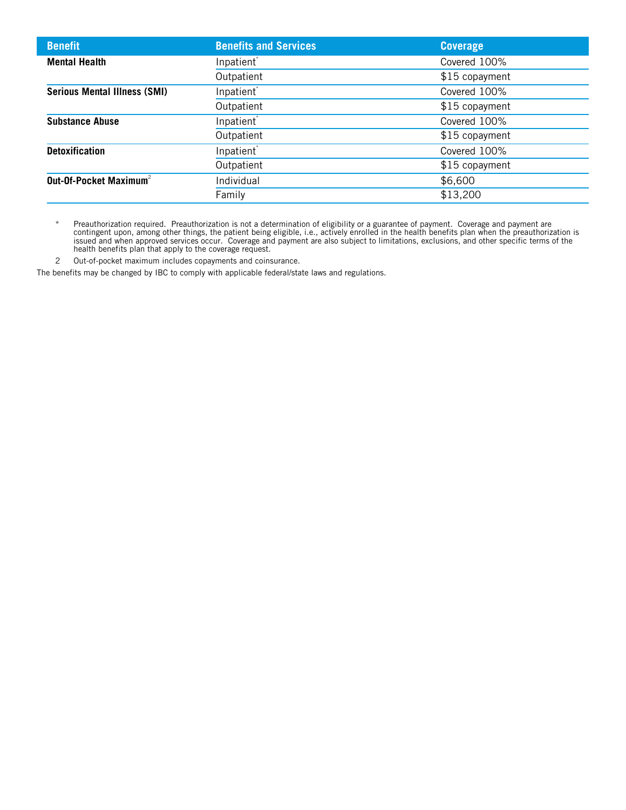| <b>Benefit</b>                      | <b>Benefits and Services</b> | <b>Coverage</b> |
|-------------------------------------|------------------------------|-----------------|
| <b>Mental Health</b>                | Inpatient <sup>*</sup>       | Covered 100%    |
|                                     | Outpatient                   | \$15 copayment  |
| <b>Serious Mental Illness (SMI)</b> | Inpatient <sup>*</sup>       | Covered 100%    |
|                                     | Outpatient                   | \$15 copayment  |
| <b>Substance Abuse</b>              | Inpatient <sup>*</sup>       | Covered 100%    |
|                                     | Outpatient                   | \$15 copayment  |
| <b>Detoxification</b>               | Inpatient <sup>*</sup>       | Covered 100%    |
|                                     | Outpatient                   | \$15 copayment  |
| Out-Of-Pocket Maximum <sup>2</sup>  | Individual                   | \$6,600         |
|                                     | Family                       | \$13,200        |

\* Preauthorization required. Preauthorization is not a determination of eligibility or a guarantee of payment. Coverage and payment are contingent upon, among other things, the patient being eligible, i.e., actively enrolled in the health benefits plan when the preauthorization is issued and when approved services occur. Coverage and payment are also subject to limitations, exclusions, and other specific terms of the health benefits plan that apply to the coverage request.

2 Out-of-pocket maximum includes copayments and coinsurance.

The benefits may be changed by IBC to comply with applicable federal/state laws and regulations.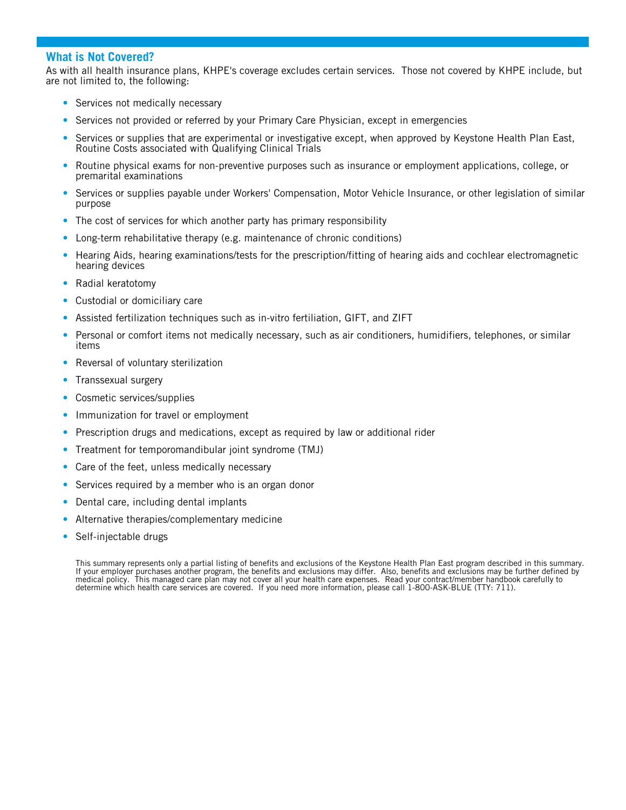#### **What is Not Covered?**

As with all health insurance plans, KHPE's coverage excludes certain services. Those not covered by KHPE include, but are not limited to, the following:

- Services not medically necessary
- Services not provided or referred by your Primary Care Physician, except in emergencies
- Services or supplies that are experimental or investigative except, when approved by Keystone Health Plan East, Routine Costs associated with Qualifying Clinical Trials
- Routine physical exams for non-preventive purposes such as insurance or employment applications, college, or premarital examinations
- Services or supplies payable under Workers' Compensation, Motor Vehicle Insurance, or other legislation of similar purpose
- The cost of services for which another party has primary responsibility
- Long-term rehabilitative therapy (e.g. maintenance of chronic conditions)
- Hearing Aids, hearing examinations/tests for the prescription/fitting of hearing aids and cochlear electromagnetic hearing devices
- Radial keratotomy
- Custodial or domiciliary care
- Assisted fertilization techniques such as in-vitro fertiliation, GIFT, and ZIFT
- Personal or comfort items not medically necessary, such as air conditioners, humidifiers, telephones, or similar items
- Reversal of voluntary sterilization
- Transsexual surgery
- Cosmetic services/supplies
- Immunization for travel or employment
- Prescription drugs and medications, except as required by law or additional rider
- Treatment for temporomandibular joint syndrome (TMJ)
- Care of the feet, unless medically necessary
- Services required by a member who is an organ donor
- Dental care, including dental implants
- Alternative therapies/complementary medicine
- Self-injectable drugs

This summary represents only a partial listing of benefits and exclusions of the Keystone Health Plan East program described in this summary. If your employer purchases another program, the benefits and exclusions may differ. Also, benefits and exclusions may be further defined by medical policy. This managed care plan may not cover all your health care expenses. Read your contract/member handbook carefully to determine which health care services are covered. If you need more information, please call 1-800-ASK-BLUE (TTY: 711).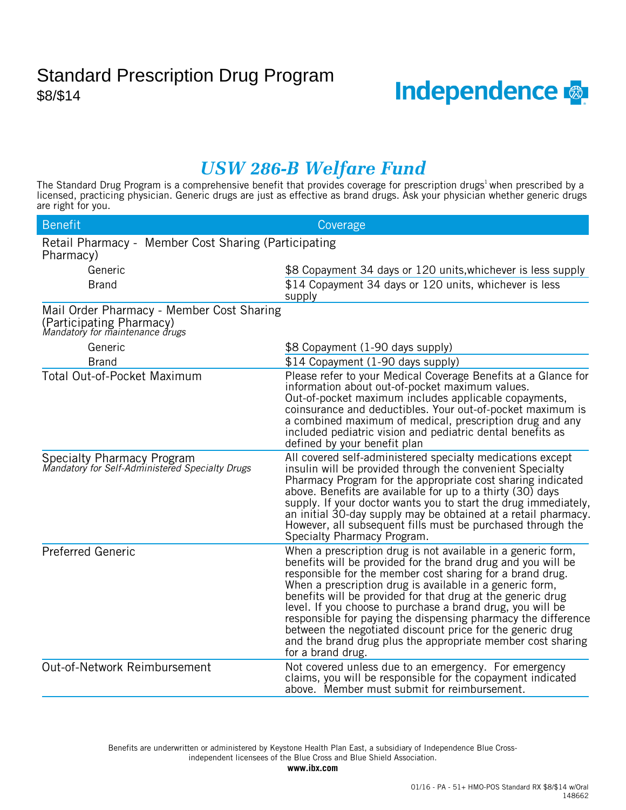

### *USW 286-B Welfare Fund*

The Standard Drug Program is a comprehensive benefit that provides coverage for prescription drugs<sup>1</sup> when prescribed by a licensed, practicing physician. Generic drugs are just as effective as brand drugs. Ask your physician whether generic drugs are right for you.

| <b>Benefit</b>                                                                                           | Coverage                                                                                                                                                                                                                                                                                                                                                                                                                                                                                                                                                                                              |
|----------------------------------------------------------------------------------------------------------|-------------------------------------------------------------------------------------------------------------------------------------------------------------------------------------------------------------------------------------------------------------------------------------------------------------------------------------------------------------------------------------------------------------------------------------------------------------------------------------------------------------------------------------------------------------------------------------------------------|
| Retail Pharmacy - Member Cost Sharing (Participating<br>Pharmacy)                                        |                                                                                                                                                                                                                                                                                                                                                                                                                                                                                                                                                                                                       |
| Generic                                                                                                  | \$8 Copayment 34 days or 120 units, whichever is less supply                                                                                                                                                                                                                                                                                                                                                                                                                                                                                                                                          |
| <b>Brand</b>                                                                                             | \$14 Copayment 34 days or 120 units, whichever is less<br>supply                                                                                                                                                                                                                                                                                                                                                                                                                                                                                                                                      |
| Mail Order Pharmacy - Member Cost Sharing<br>(Participating Pharmacy)<br>Mandatory for maintenance drugs |                                                                                                                                                                                                                                                                                                                                                                                                                                                                                                                                                                                                       |
| Generic                                                                                                  | \$8 Copayment (1-90 days supply)                                                                                                                                                                                                                                                                                                                                                                                                                                                                                                                                                                      |
| <b>Brand</b>                                                                                             | \$14 Copayment (1-90 days supply)                                                                                                                                                                                                                                                                                                                                                                                                                                                                                                                                                                     |
| Total Out-of-Pocket Maximum                                                                              | Please refer to your Medical Coverage Benefits at a Glance for<br>information about out-of-pocket maximum values.<br>Out-of-pocket maximum includes applicable copayments,<br>coinsurance and deductibles. Your out-of-pocket maximum is<br>a combined maximum of medical, prescription drug and any<br>included pediatric vision and pediatric dental benefits as<br>defined by your benefit plan                                                                                                                                                                                                    |
| Specialty Pharmacy Program<br>Mandatory for Self-Administered Specialty Drugs                            | All covered self-administered specialty medications except<br>insulin will be provided through the convenient Specialty<br>Pharmacy Program for the appropriate cost sharing indicated<br>above. Benefits are available for up to a thirty (30) days<br>supply. If your doctor wants you to start the drug immediately,<br>an initial 30-day supply may be obtained at a retail pharmacy.<br>However, all subsequent fills must be purchased through the<br>Specialty Pharmacy Program.                                                                                                               |
| <b>Preferred Generic</b>                                                                                 | When a prescription drug is not available in a generic form,<br>benefits will be provided for the brand drug and you will be<br>responsible for the member cost sharing for a brand drug.<br>When a prescription drug is available in a generic form,<br>benefits will be provided for that drug at the generic drug<br>level. If you choose to purchase a brand drug, you will be<br>responsible for paying the dispensing pharmacy the difference<br>between the negotiated discount price for the generic drug<br>and the brand drug plus the appropriate member cost sharing<br>for a brand drug. |
| Out-of-Network Reimbursement                                                                             | Not covered unless due to an emergency. For emergency<br>claims, you will be responsible for the copayment indicated<br>above. Member must submit for reimbursement.                                                                                                                                                                                                                                                                                                                                                                                                                                  |

independent licensees of the Blue Cross and Blue Shield Association. Benefits are underwritten or administered by Keystone Health Plan East, a subsidiary of Independence Blue Cross-

**www.ibx.com**